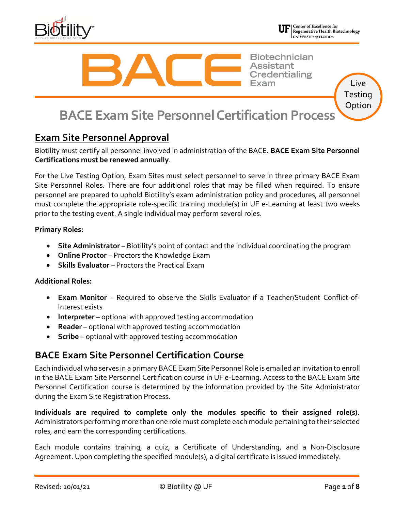



Live **Testing** Option

**Biotechnician Assistant** Credentialing

**BACE Exam Site Personnel Certification Process**

# **Exam Site Personnel Approval**

Biotility must certify all personnel involved in administration of the BACE. **BACE Exam Site Personnel Certifications must be renewed annually**.

For the Live Testing Option, Exam Sites must select personnel to serve in three primary BACE Exam Site Personnel Roles. There are four additional roles that may be filled when required. To ensure personnel are prepared to uphold Biotility's exam administration policy and procedures, all personnel must complete the appropriate role-specific training module(s) in UF e-Learning at least two weeks prior to the testing event. A single individual may perform several roles.

#### **Primary Roles:**

- **Site Administrator** Biotility's point of contact and the individual coordinating the program
- **Online Proctor** Proctors the Knowledge Exam
- **Skills Evaluator** Proctors the Practical Exam

#### **Additional Roles:**

- **Exam Monitor** Required to observe the Skills Evaluator if a Teacher/Student Conflict-of-Interest exists
- **Interpreter** optional with approved testing accommodation
- **Reader** optional with approved testing accommodation
- **Scribe** optional with approved testing accommodation

## **BACE Exam Site Personnel Certification Course**

Each individual who serves in a primary BACE Exam Site Personnel Role is emailed an invitation to enroll in the BACE Exam Site Personnel Certification course in UF e-Learning. Access to the BACE Exam Site Personnel Certification course is determined by the information provided by the Site Administrator during the Exam Site Registration Process.

**Individuals are required to complete only the modules specific to their assigned role(s).** Administrators performing more than one role must complete each module pertaining to their selected roles, and earn the corresponding certifications.

Each module contains training, a quiz, a Certificate of Understanding, and a Non-Disclosure Agreement. Upon completing the specified module(s), a digital certificate is issued immediately.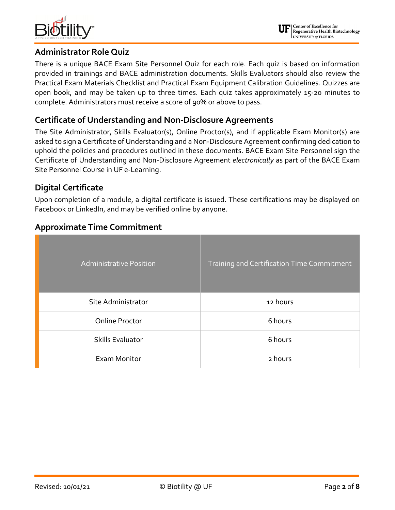

### **Administrator Role Quiz**

There is a unique BACE Exam Site Personnel Quiz for each role. Each quiz is based on information provided in trainings and BACE administration documents. Skills Evaluators should also review the Practical Exam Materials Checklist and Practical Exam Equipment Calibration Guidelines. Quizzes are open book, and may be taken up to three times. Each quiz takes approximately 15-20 minutes to complete. Administrators must receive a score of 90% or above to pass.

## **Certificate of Understanding and Non-Disclosure Agreements**

The Site Administrator, Skills Evaluator(s), Online Proctor(s), and if applicable Exam Monitor(s) are asked to sign a Certificate of Understanding and a Non-Disclosure Agreement confirming dedication to uphold the policies and procedures outlined in these documents. BACE Exam Site Personnel sign the Certificate of Understanding and Non-Disclosure Agreement *electronically* as part of the BACE Exam Site Personnel Course in UF e-Learning.

## **Digital Certificate**

Upon completion of a module, a digital certificate is issued. These certifications may be displayed on Facebook or LinkedIn, and may be verified online by anyone.

## **Approximate Time Commitment**

| <b>Administrative Position</b> | Training and Certification Time Commitment |
|--------------------------------|--------------------------------------------|
| Site Administrator             | 12 hours                                   |
| <b>Online Proctor</b>          | 6 hours                                    |
| <b>Skills Evaluator</b>        | 6 hours                                    |
| Exam Monitor                   | 2 hours                                    |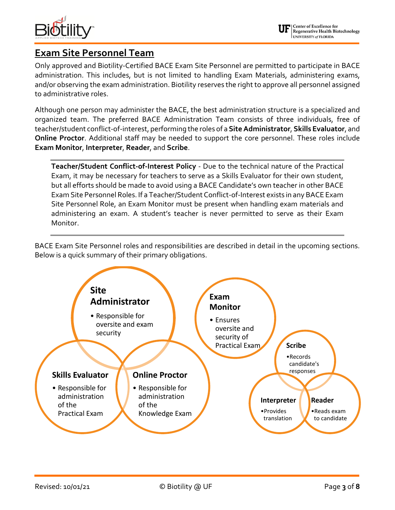

# **Exam Site Personnel Team**

Only approved and Biotility-Certified BACE Exam Site Personnel are permitted to participate in BACE administration. This includes, but is not limited to handling Exam Materials, administering exams, and/or observing the exam administration. Biotility reserves the right to approve all personnel assigned to administrative roles.

Although one person may administer the BACE, the best administration structure is a specialized and organized team. The preferred BACE Administration Team consists of three individuals, free of teacher/student conflict-of-interest, performing the roles of a **Site Administrator**, **Skills Evaluator**, and **Online Proctor**. Additional staff may be needed to support the core personnel. These roles include **Exam Monitor**, **Interpreter**, **Reader**, and **Scribe**.

**Teacher/Student Conflict-of-Interest Policy** - Due to the technical nature of the Practical Exam, it may be necessary for teachers to serve as a Skills Evaluator for their own student, but all efforts should be made to avoid using a BACE Candidate's own teacher in other BACE Exam Site Personnel Roles. If a Teacher/Student Conflict-of-Interest exists in any BACE Exam Site Personnel Role, an Exam Monitor must be present when handling exam materials and administering an exam. A student's teacher is never permitted to serve as their Exam Monitor.

BACE Exam Site Personnel roles and responsibilities are described in detail in the upcoming sections. Below is a quick summary of their primary obligations.

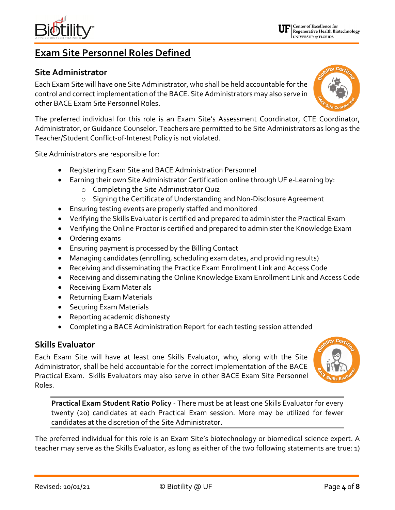**Exam Site Personnel Roles Defined**

## **Site Administrator**

Each Exam Site will have one Site Administrator, who shall be held accountable for the control and correct implementation of the BACE. Site Administrators may also serve in other BACE Exam Site Personnel Roles.

The preferred individual for this role is an Exam Site's Assessment Coordinator, CTE Coordinator, Administrator, or Guidance Counselor. Teachers are permitted to be Site Administrators as long as the Teacher/Student Conflict-of-Interest Policy is not violated.

Site Administrators are responsible for:

- Registering Exam Site and BACE Administration Personnel
- Earning their own Site Administrator Certification online through UF e-Learning by:
	- o Completing the Site Administrator Quiz
	- o Signing the Certificate of Understanding and Non-Disclosure Agreement
- Ensuring testing events are properly staffed and monitored
- Verifying the Skills Evaluator is certified and prepared to administer the Practical Exam
- Verifying the Online Proctor is certified and prepared to administer the Knowledge Exam
- Ordering exams
- Ensuring payment is processed by the Billing Contact
- Managing candidates (enrolling, scheduling exam dates, and providing results)
- Receiving and disseminating the Practice Exam Enrollment Link and Access Code
- Receiving and disseminating the Online Knowledge Exam Enrollment Link and Access Code
- Receiving Exam Materials
- Returning Exam Materials
- Securing Exam Materials
- Reporting academic dishonesty
- Completing a BACE Administration Report for each testing session attended

## **Skills Evaluator**

Each Exam Site will have at least one Skills Evaluator, who, along with the Site Administrator, shall be held accountable for the correct implementation of the BACE Practical Exam. Skills Evaluators may also serve in other BACE Exam Site Personnel Roles.

**Practical Exam Student Ratio Policy** - There must be at least one Skills Evaluator for every twenty (20) candidates at each Practical Exam session. More may be utilized for fewer candidates at the discretion of the Site Administrator.

The preferred individual for this role is an Exam Site's biotechnology or biomedical science expert. A teacher may serve as the Skills Evaluator, as long as either of the two following statements are true: 1)







Center of Excellence for Regenerative Health Biotechnology UNIVERSITY of FLORIDA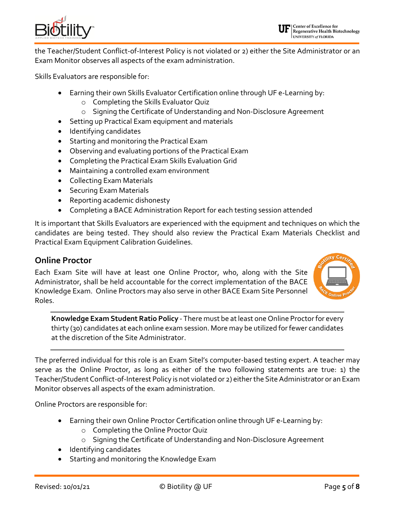

the Teacher/Student Conflict-of-Interest Policy is not violated or 2) either the Site Administrator or an Exam Monitor observes all aspects of the exam administration.

Skills Evaluators are responsible for:

- Earning their own Skills Evaluator Certification online through UF e-Learning by:
	- o Completing the Skills Evaluator Quiz
	- o Signing the Certificate of Understanding and Non-Disclosure Agreement
- Setting up Practical Exam equipment and materials
- Identifying candidates
- Starting and monitoring the Practical Exam
- Observing and evaluating portions of the Practical Exam
- Completing the Practical Exam Skills Evaluation Grid
- Maintaining a controlled exam environment
- Collecting Exam Materials
- Securing Exam Materials
- Reporting academic dishonesty
- Completing a BACE Administration Report for each testing session attended

It is important that Skills Evaluators are experienced with the equipment and techniques on which the candidates are being tested. They should also review the Practical Exam Materials Checklist and Practical Exam Equipment Calibration Guidelines.

#### **Online Proctor**

Each Exam Site will have at least one Online Proctor, who, along with the Site Administrator, shall be held accountable for the correct implementation of the BACE Knowledge Exam. Online Proctors may also serve in other BACE Exam Site Personnel Roles.



**Knowledge Exam Student Ratio Policy** - There must be at least one Online Proctor for every thirty (30) candidates at each online exam session. More may be utilized for fewer candidates at the discretion of the Site Administrator.

The preferred individual for this role is an Exam Sitel's computer-based testing expert. A teacher may serve as the Online Proctor, as long as either of the two following statements are true: 1) the Teacher/Student Conflict-of-Interest Policy is not violated or 2) either the Site Administrator or an Exam Monitor observes all aspects of the exam administration.

Online Proctors are responsible for:

- Earning their own Online Proctor Certification online through UF e-Learning by:
	- o Completing the Online Proctor Quiz
	- o Signing the Certificate of Understanding and Non-Disclosure Agreement
- Identifying candidates
- Starting and monitoring the Knowledge Exam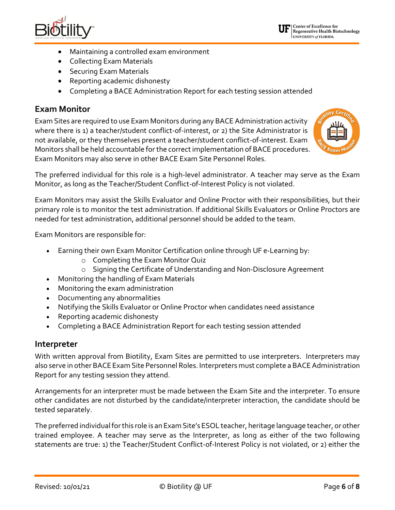

ty Cer

- Maintaining a controlled exam environment
- Collecting Exam Materials
- Securing Exam Materials
- Reporting academic dishonesty
- Completing a BACE Administration Report for each testing session attended

### **Exam Monitor**

Exam Sites are required to use Exam Monitors during any BACE Administration activity where there is 1) a teacher/student conflict-of-interest, or 2) the Site Administrator is not available, or they themselves present a teacher/student conflict-of-interest. Exam Monitors shall be held accountable for the correct implementation of BACE procedures. Exam Monitors may also serve in other BACE Exam Site Personnel Roles.

The preferred individual for this role is a high-level administrator. A teacher may serve as the Exam Monitor, as long as the Teacher/Student Conflict-of-Interest Policy is not violated.

Exam Monitors may assist the Skills Evaluator and Online Proctor with their responsibilities, but their primary role is to monitor the test administration. If additional Skills Evaluators or Online Proctors are needed for test administration, additional personnel should be added to the team.

Exam Monitors are responsible for:

- Earning their own Exam Monitor Certification online through UF e-Learning by:
	- o Completing the Exam Monitor Quiz
	- o Signing the Certificate of Understanding and Non-Disclosure Agreement
- Monitoring the handling of Exam Materials
- Monitoring the exam administration
- Documenting any abnormalities
- Notifying the Skills Evaluator or Online Proctor when candidates need assistance
- Reporting academic dishonesty
- Completing a BACE Administration Report for each testing session attended

#### **Interpreter**

With written approval from Biotility, Exam Sites are permitted to use interpreters. Interpreters may also serve in other BACE Exam Site Personnel Roles. Interpreters must complete a BACE Administration Report for any testing session they attend.

Arrangements for an interpreter must be made between the Exam Site and the interpreter. To ensure other candidates are not disturbed by the candidate/interpreter interaction, the candidate should be tested separately.

The preferred individual for this role is an Exam Site's ESOL teacher, heritage language teacher, or other trained employee. A teacher may serve as the Interpreter, as long as either of the two following statements are true: 1) the Teacher/Student Conflict-of-Interest Policy is not violated, or 2) either the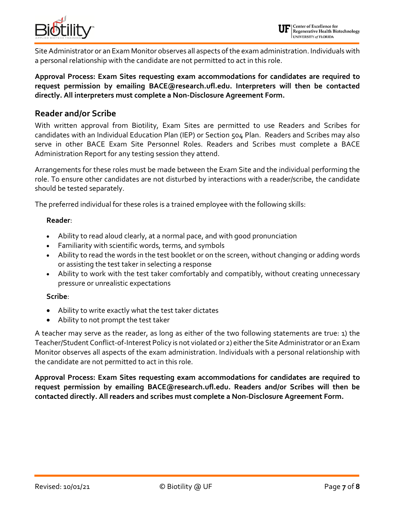

Site Administrator or an Exam Monitor observes all aspects of the exam administration. Individuals with a personal relationship with the candidate are not permitted to act in this role.

**Approval Process: Exam Sites requesting exam accommodations for candidates are required to request permission by emailing BACE@research.ufl.edu. Interpreters will then be contacted directly. All interpreters must complete a Non-Disclosure Agreement Form.**

#### **Reader and/or Scribe**

With written approval from Biotility, Exam Sites are permitted to use Readers and Scribes for candidates with an Individual Education Plan (IEP) or Section 504 Plan. Readers and Scribes may also serve in other BACE Exam Site Personnel Roles. Readers and Scribes must complete a BACE Administration Report for any testing session they attend.

Arrangements for these roles must be made between the Exam Site and the individual performing the role. To ensure other candidates are not disturbed by interactions with a reader/scribe, the candidate should be tested separately.

The preferred individual for these roles is a trained employee with the following skills:

#### **Reader**:

- Ability to read aloud clearly, at a normal pace, and with good pronunciation
- Familiarity with scientific words, terms, and symbols
- Ability to read the words in the test booklet or on the screen, without changing or adding words or assisting the test taker in selecting a response
- Ability to work with the test taker comfortably and compatibly, without creating unnecessary pressure or unrealistic expectations

#### **Scribe**:

- Ability to write exactly what the test taker dictates
- Ability to not prompt the test taker

A teacher may serve as the reader, as long as either of the two following statements are true: 1) the Teacher/Student Conflict-of-Interest Policy is not violated or 2) either the Site Administrator or an Exam Monitor observes all aspects of the exam administration. Individuals with a personal relationship with the candidate are not permitted to act in this role.

**Approval Process: Exam Sites requesting exam accommodations for candidates are required to request permission by emailing BACE@research.ufl.edu. Readers and/or Scribes will then be contacted directly. All readers and scribes must complete a Non-Disclosure Agreement Form.**